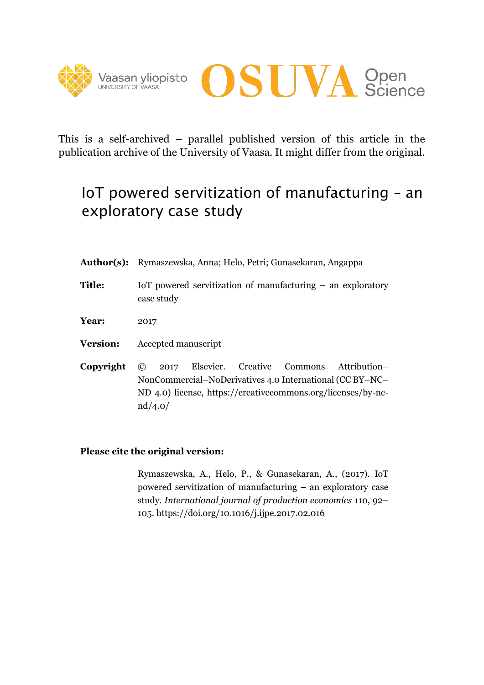



This is a self-archived – parallel published version of this article in the publication archive of the University of Vaasa. It might differ from the original.

# IoT powered servitization of manufacturing – an exploratory case study

- **Author(s):** Rymaszewska, Anna; Helo, Petri; Gunasekaran, Angappa
- **Title:** IoT powered servitization of manufacturing an exploratory case study
- **Year:** 2017
- **Version:** Accepted manuscript
- **Copyright** © 2017 Elsevier. Creative Commons Attribution– NonCommercial–NoDerivatives 4.0 International (CC BY–NC– ND 4.0) license, https://creativecommons.org/licenses/by-ncnd/4.0/

#### **Please cite the original version:**

Rymaszewska, A., Helo, P., & Gunasekaran, A., (2017). IoT powered servitization of manufacturing – an exploratory case study. *International journal of production economics* 110, 92– 105. https://doi.org/10.1016/j.ijpe.2017.02.016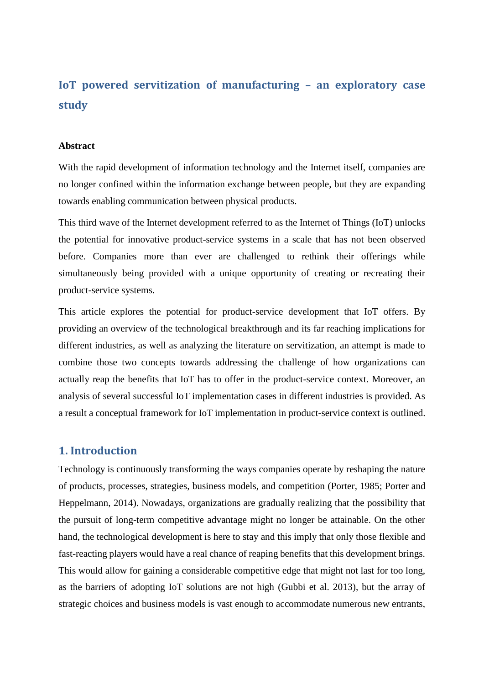## **IoT powered servitization of manufacturing – an exploratory case study**

#### **Abstract**

With the rapid development of information technology and the Internet itself, companies are no longer confined within the information exchange between people, but they are expanding towards enabling communication between physical products.

This third wave of the Internet development referred to as the Internet of Things (IoT) unlocks the potential for innovative product-service systems in a scale that has not been observed before. Companies more than ever are challenged to rethink their offerings while simultaneously being provided with a unique opportunity of creating or recreating their product-service systems.

This article explores the potential for product-service development that IoT offers. By providing an overview of the technological breakthrough and its far reaching implications for different industries, as well as analyzing the literature on servitization, an attempt is made to combine those two concepts towards addressing the challenge of how organizations can actually reap the benefits that IoT has to offer in the product-service context. Moreover, an analysis of several successful IoT implementation cases in different industries is provided. As a result a conceptual framework for IoT implementation in product-service context is outlined.

#### **1. Introduction**

Technology is continuously transforming the ways companies operate by reshaping the nature of products, processes, strategies, business models, and competition (Porter, 1985; Porter and Heppelmann, 2014). Nowadays, organizations are gradually realizing that the possibility that the pursuit of long-term competitive advantage might no longer be attainable. On the other hand, the technological development is here to stay and this imply that only those flexible and fast-reacting players would have a real chance of reaping benefits that this development brings. This would allow for gaining a considerable competitive edge that might not last for too long, as the barriers of adopting IoT solutions are not high (Gubbi et al. 2013), but the array of strategic choices and business models is vast enough to accommodate numerous new entrants,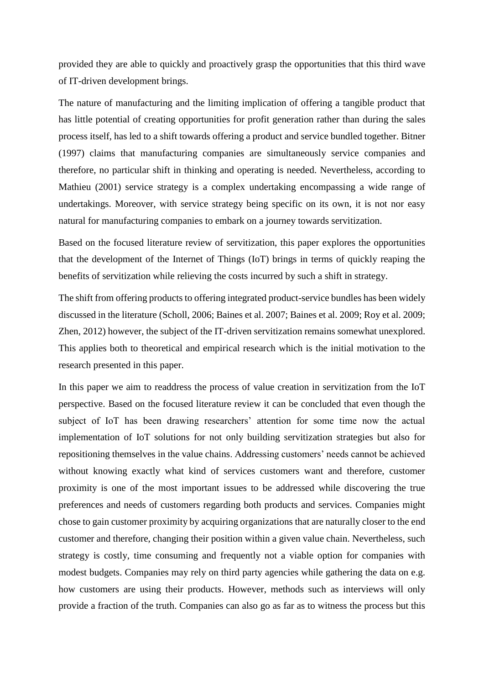provided they are able to quickly and proactively grasp the opportunities that this third wave of IT-driven development brings.

The nature of manufacturing and the limiting implication of offering a tangible product that has little potential of creating opportunities for profit generation rather than during the sales process itself, has led to a shift towards offering a product and service bundled together. Bitner (1997) claims that manufacturing companies are simultaneously service companies and therefore, no particular shift in thinking and operating is needed. Nevertheless, according to Mathieu (2001) service strategy is a complex undertaking encompassing a wide range of undertakings. Moreover, with service strategy being specific on its own, it is not nor easy natural for manufacturing companies to embark on a journey towards servitization.

Based on the focused literature review of servitization, this paper explores the opportunities that the development of the Internet of Things (IoT) brings in terms of quickly reaping the benefits of servitization while relieving the costs incurred by such a shift in strategy.

The shift from offering products to offering integrated product-service bundles has been widely discussed in the literature (Scholl, 2006; Baines et al. 2007; Baines et al. 2009; Roy et al. 2009; Zhen, 2012) however, the subject of the IT-driven servitization remains somewhat unexplored. This applies both to theoretical and empirical research which is the initial motivation to the research presented in this paper.

In this paper we aim to readdress the process of value creation in servitization from the IoT perspective. Based on the focused literature review it can be concluded that even though the subject of IoT has been drawing researchers' attention for some time now the actual implementation of IoT solutions for not only building servitization strategies but also for repositioning themselves in the value chains. Addressing customers' needs cannot be achieved without knowing exactly what kind of services customers want and therefore, customer proximity is one of the most important issues to be addressed while discovering the true preferences and needs of customers regarding both products and services. Companies might chose to gain customer proximity by acquiring organizations that are naturally closer to the end customer and therefore, changing their position within a given value chain. Nevertheless, such strategy is costly, time consuming and frequently not a viable option for companies with modest budgets. Companies may rely on third party agencies while gathering the data on e.g. how customers are using their products. However, methods such as interviews will only provide a fraction of the truth. Companies can also go as far as to witness the process but this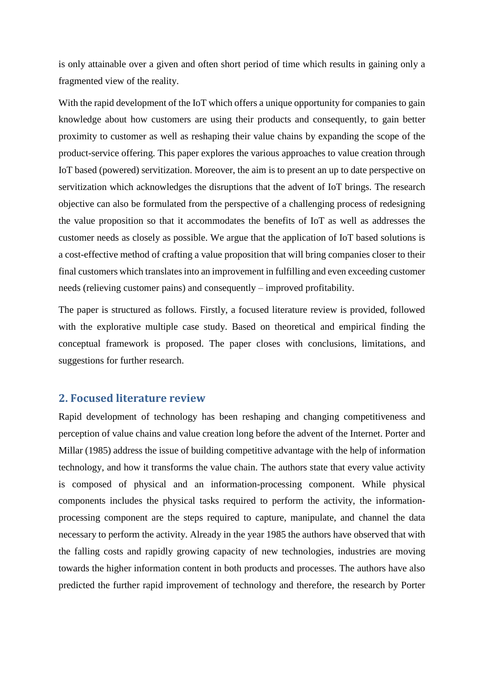is only attainable over a given and often short period of time which results in gaining only a fragmented view of the reality.

With the rapid development of the IoT which offers a unique opportunity for companies to gain knowledge about how customers are using their products and consequently, to gain better proximity to customer as well as reshaping their value chains by expanding the scope of the product-service offering. This paper explores the various approaches to value creation through IoT based (powered) servitization. Moreover, the aim is to present an up to date perspective on servitization which acknowledges the disruptions that the advent of IoT brings. The research objective can also be formulated from the perspective of a challenging process of redesigning the value proposition so that it accommodates the benefits of IoT as well as addresses the customer needs as closely as possible. We argue that the application of IoT based solutions is a cost-effective method of crafting a value proposition that will bring companies closer to their final customers which translates into an improvement in fulfilling and even exceeding customer needs (relieving customer pains) and consequently – improved profitability.

The paper is structured as follows. Firstly, a focused literature review is provided, followed with the explorative multiple case study. Based on theoretical and empirical finding the conceptual framework is proposed. The paper closes with conclusions, limitations, and suggestions for further research.

## **2. Focused literature review**

Rapid development of technology has been reshaping and changing competitiveness and perception of value chains and value creation long before the advent of the Internet. Porter and Millar (1985) address the issue of building competitive advantage with the help of information technology, and how it transforms the value chain. The authors state that every value activity is composed of physical and an information-processing component. While physical components includes the physical tasks required to perform the activity, the informationprocessing component are the steps required to capture, manipulate, and channel the data necessary to perform the activity. Already in the year 1985 the authors have observed that with the falling costs and rapidly growing capacity of new technologies, industries are moving towards the higher information content in both products and processes. The authors have also predicted the further rapid improvement of technology and therefore, the research by Porter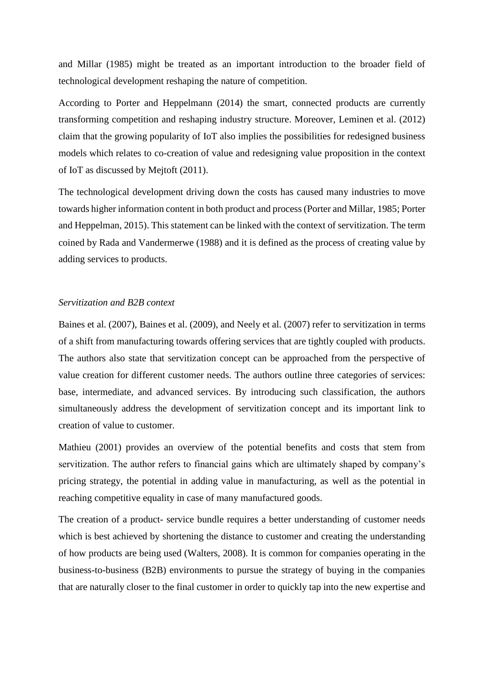and Millar (1985) might be treated as an important introduction to the broader field of technological development reshaping the nature of competition.

According to Porter and Heppelmann (2014) the smart, connected products are currently transforming competition and reshaping industry structure. Moreover, Leminen et al. (2012) claim that the growing popularity of IoT also implies the possibilities for redesigned business models which relates to co-creation of value and redesigning value proposition in the context of IoT as discussed by Mejtoft (2011).

The technological development driving down the costs has caused many industries to move towards higher information content in both product and process (Porter and Millar, 1985; Porter and Heppelman, 2015). This statement can be linked with the context of servitization. The term coined by Rada and Vandermerwe (1988) and it is defined as the process of creating value by adding services to products.

#### *Servitization and B2B context*

Baines et al. (2007), Baines et al. (2009), and Neely et al. (2007) refer to servitization in terms of a shift from manufacturing towards offering services that are tightly coupled with products. The authors also state that servitization concept can be approached from the perspective of value creation for different customer needs. The authors outline three categories of services: base, intermediate, and advanced services. By introducing such classification, the authors simultaneously address the development of servitization concept and its important link to creation of value to customer.

Mathieu (2001) provides an overview of the potential benefits and costs that stem from servitization. The author refers to financial gains which are ultimately shaped by company's pricing strategy, the potential in adding value in manufacturing, as well as the potential in reaching competitive equality in case of many manufactured goods.

The creation of a product- service bundle requires a better understanding of customer needs which is best achieved by shortening the distance to customer and creating the understanding of how products are being used (Walters, 2008). It is common for companies operating in the business-to-business (B2B) environments to pursue the strategy of buying in the companies that are naturally closer to the final customer in order to quickly tap into the new expertise and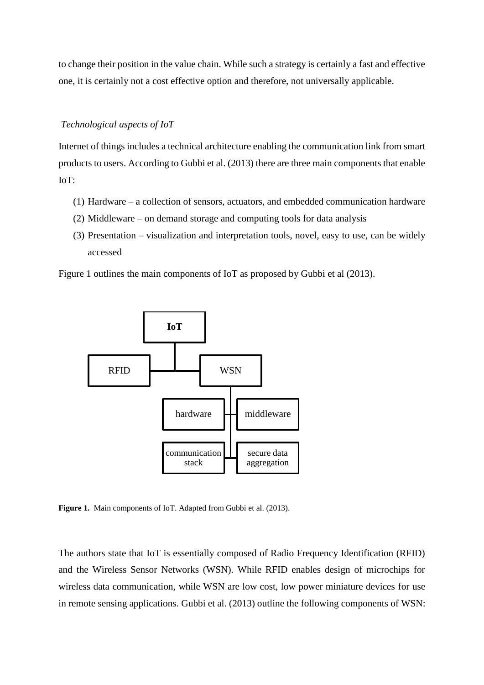to change their position in the value chain. While such a strategy is certainly a fast and effective one, it is certainly not a cost effective option and therefore, not universally applicable.

#### *Technological aspects of IoT*

Internet of things includes a technical architecture enabling the communication link from smart products to users. According to Gubbi et al. (2013) there are three main components that enable IoT:

- (1) Hardware a collection of sensors, actuators, and embedded communication hardware
- (2) Middleware on demand storage and computing tools for data analysis
- (3) Presentation visualization and interpretation tools, novel, easy to use, can be widely accessed

Figure 1 outlines the main components of IoT as proposed by Gubbi et al (2013).



**Figure 1.** Main components of IoT. Adapted from Gubbi et al. (2013).

The authors state that IoT is essentially composed of Radio Frequency Identification (RFID) and the Wireless Sensor Networks (WSN). While RFID enables design of microchips for wireless data communication, while WSN are low cost, low power miniature devices for use in remote sensing applications. Gubbi et al. (2013) outline the following components of WSN: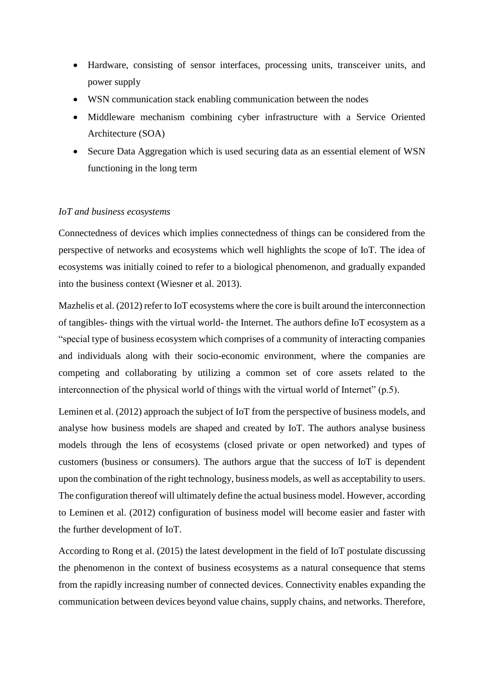- Hardware, consisting of sensor interfaces, processing units, transceiver units, and power supply
- WSN communication stack enabling communication between the nodes
- Middleware mechanism combining cyber infrastructure with a Service Oriented Architecture (SOA)
- Secure Data Aggregation which is used securing data as an essential element of WSN functioning in the long term

#### *IoT and business ecosystems*

Connectedness of devices which implies connectedness of things can be considered from the perspective of networks and ecosystems which well highlights the scope of IoT. The idea of ecosystems was initially coined to refer to a biological phenomenon, and gradually expanded into the business context (Wiesner et al. 2013).

Mazhelis et al. (2012) refer to IoT ecosystems where the core is built around the interconnection of tangibles- things with the virtual world- the Internet. The authors define IoT ecosystem as a "special type of business ecosystem which comprises of a community of interacting companies and individuals along with their socio-economic environment, where the companies are competing and collaborating by utilizing a common set of core assets related to the interconnection of the physical world of things with the virtual world of Internet" (p.5).

Leminen et al. (2012) approach the subject of IoT from the perspective of business models, and analyse how business models are shaped and created by IoT. The authors analyse business models through the lens of ecosystems (closed private or open networked) and types of customers (business or consumers). The authors argue that the success of IoT is dependent upon the combination of the right technology, business models, as well as acceptability to users. The configuration thereof will ultimately define the actual business model. However, according to Leminen et al. (2012) configuration of business model will become easier and faster with the further development of IoT.

According to Rong et al. (2015) the latest development in the field of IoT postulate discussing the phenomenon in the context of business ecosystems as a natural consequence that stems from the rapidly increasing number of connected devices. Connectivity enables expanding the communication between devices beyond value chains, supply chains, and networks. Therefore,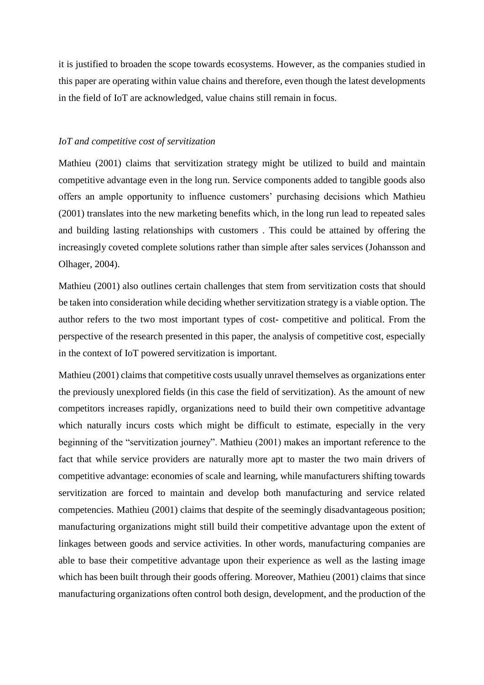it is justified to broaden the scope towards ecosystems. However, as the companies studied in this paper are operating within value chains and therefore, even though the latest developments in the field of IoT are acknowledged, value chains still remain in focus.

#### *IoT and competitive cost of servitization*

Mathieu (2001) claims that servitization strategy might be utilized to build and maintain competitive advantage even in the long run. Service components added to tangible goods also offers an ample opportunity to influence customers' purchasing decisions which Mathieu (2001) translates into the new marketing benefits which, in the long run lead to repeated sales and building lasting relationships with customers . This could be attained by offering the increasingly coveted complete solutions rather than simple after sales services (Johansson and Olhager, 2004).

Mathieu (2001) also outlines certain challenges that stem from servitization costs that should be taken into consideration while deciding whether servitization strategy is a viable option. The author refers to the two most important types of cost- competitive and political. From the perspective of the research presented in this paper, the analysis of competitive cost, especially in the context of IoT powered servitization is important.

Mathieu (2001) claims that competitive costs usually unravel themselves as organizations enter the previously unexplored fields (in this case the field of servitization). As the amount of new competitors increases rapidly, organizations need to build their own competitive advantage which naturally incurs costs which might be difficult to estimate, especially in the very beginning of the "servitization journey". Mathieu (2001) makes an important reference to the fact that while service providers are naturally more apt to master the two main drivers of competitive advantage: economies of scale and learning, while manufacturers shifting towards servitization are forced to maintain and develop both manufacturing and service related competencies. Mathieu (2001) claims that despite of the seemingly disadvantageous position; manufacturing organizations might still build their competitive advantage upon the extent of linkages between goods and service activities. In other words, manufacturing companies are able to base their competitive advantage upon their experience as well as the lasting image which has been built through their goods offering. Moreover, Mathieu (2001) claims that since manufacturing organizations often control both design, development, and the production of the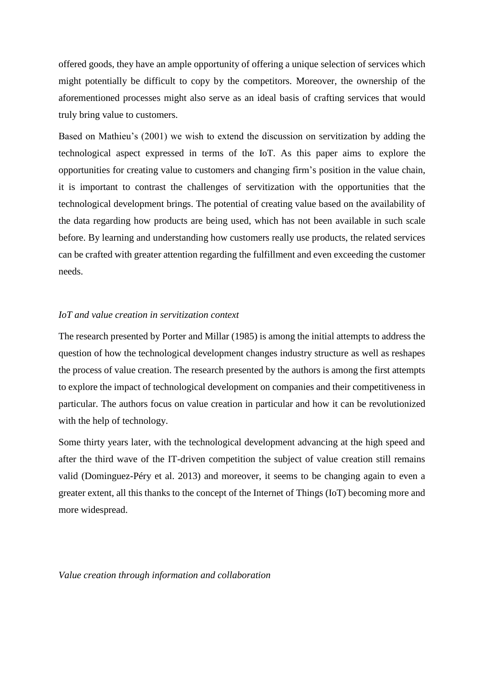offered goods, they have an ample opportunity of offering a unique selection of services which might potentially be difficult to copy by the competitors. Moreover, the ownership of the aforementioned processes might also serve as an ideal basis of crafting services that would truly bring value to customers.

Based on Mathieu's (2001) we wish to extend the discussion on servitization by adding the technological aspect expressed in terms of the IoT. As this paper aims to explore the opportunities for creating value to customers and changing firm's position in the value chain, it is important to contrast the challenges of servitization with the opportunities that the technological development brings. The potential of creating value based on the availability of the data regarding how products are being used, which has not been available in such scale before. By learning and understanding how customers really use products, the related services can be crafted with greater attention regarding the fulfillment and even exceeding the customer needs.

#### *IoT and value creation in servitization context*

The research presented by Porter and Millar (1985) is among the initial attempts to address the question of how the technological development changes industry structure as well as reshapes the process of value creation. The research presented by the authors is among the first attempts to explore the impact of technological development on companies and their competitiveness in particular. The authors focus on value creation in particular and how it can be revolutionized with the help of technology.

Some thirty years later, with the technological development advancing at the high speed and after the third wave of the IT-driven competition the subject of value creation still remains valid (Dominguez-Péry et al. 2013) and moreover, it seems to be changing again to even a greater extent, all this thanks to the concept of the Internet of Things (IoT) becoming more and more widespread.

*Value creation through information and collaboration*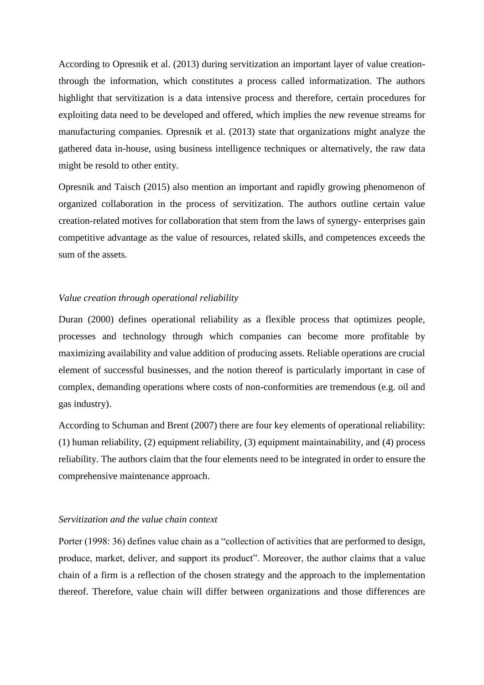According to Opresnik et al. (2013) during servitization an important layer of value creationthrough the information, which constitutes a process called informatization. The authors highlight that servitization is a data intensive process and therefore, certain procedures for exploiting data need to be developed and offered, which implies the new revenue streams for manufacturing companies. Opresnik et al. (2013) state that organizations might analyze the gathered data in-house, using business intelligence techniques or alternatively, the raw data might be resold to other entity.

Opresnik and Taisch (2015) also mention an important and rapidly growing phenomenon of organized collaboration in the process of servitization. The authors outline certain value creation-related motives for collaboration that stem from the laws of synergy- enterprises gain competitive advantage as the value of resources, related skills, and competences exceeds the sum of the assets.

#### *Value creation through operational reliability*

Duran (2000) defines operational reliability as a flexible process that optimizes people, processes and technology through which companies can become more profitable by maximizing availability and value addition of producing assets. Reliable operations are crucial element of successful businesses, and the notion thereof is particularly important in case of complex, demanding operations where costs of non-conformities are tremendous (e.g. oil and gas industry).

According to Schuman and Brent (2007) there are four key elements of operational reliability: (1) human reliability, (2) equipment reliability, (3) equipment maintainability, and (4) process reliability. The authors claim that the four elements need to be integrated in order to ensure the comprehensive maintenance approach.

#### *Servitization and the value chain context*

Porter (1998: 36) defines value chain as a "collection of activities that are performed to design, produce, market, deliver, and support its product". Moreover, the author claims that a value chain of a firm is a reflection of the chosen strategy and the approach to the implementation thereof. Therefore, value chain will differ between organizations and those differences are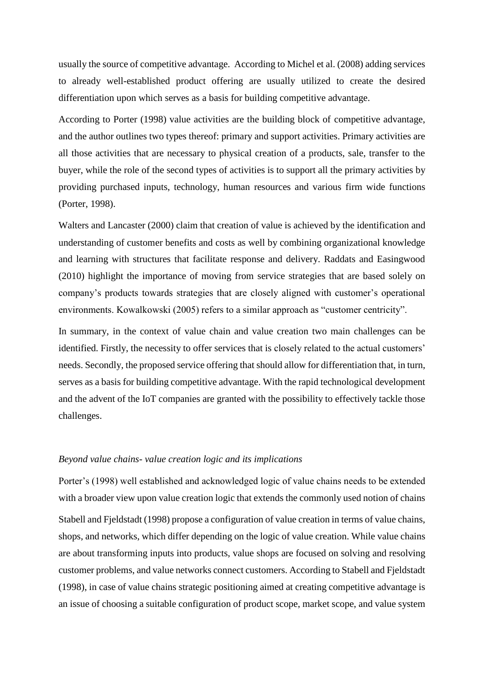usually the source of competitive advantage. According to Michel et al. (2008) adding services to already well-established product offering are usually utilized to create the desired differentiation upon which serves as a basis for building competitive advantage.

According to Porter (1998) value activities are the building block of competitive advantage, and the author outlines two types thereof: primary and support activities. Primary activities are all those activities that are necessary to physical creation of a products, sale, transfer to the buyer, while the role of the second types of activities is to support all the primary activities by providing purchased inputs, technology, human resources and various firm wide functions (Porter, 1998).

Walters and Lancaster (2000) claim that creation of value is achieved by the identification and understanding of customer benefits and costs as well by combining organizational knowledge and learning with structures that facilitate response and delivery. Raddats and Easingwood (2010) highlight the importance of moving from service strategies that are based solely on company's products towards strategies that are closely aligned with customer's operational environments. Kowalkowski (2005) refers to a similar approach as "customer centricity".

In summary, in the context of value chain and value creation two main challenges can be identified. Firstly, the necessity to offer services that is closely related to the actual customers' needs. Secondly, the proposed service offering that should allow for differentiation that, in turn, serves as a basis for building competitive advantage. With the rapid technological development and the advent of the IoT companies are granted with the possibility to effectively tackle those challenges.

#### *Beyond value chains- value creation logic and its implications*

Porter's (1998) well established and acknowledged logic of value chains needs to be extended with a broader view upon value creation logic that extends the commonly used notion of chains Stabell and Fjeldstadt (1998) propose a configuration of value creation in terms of value chains, shops, and networks, which differ depending on the logic of value creation. While value chains are about transforming inputs into products, value shops are focused on solving and resolving customer problems, and value networks connect customers. According to Stabell and Fjeldstadt (1998), in case of value chains strategic positioning aimed at creating competitive advantage is an issue of choosing a suitable configuration of product scope, market scope, and value system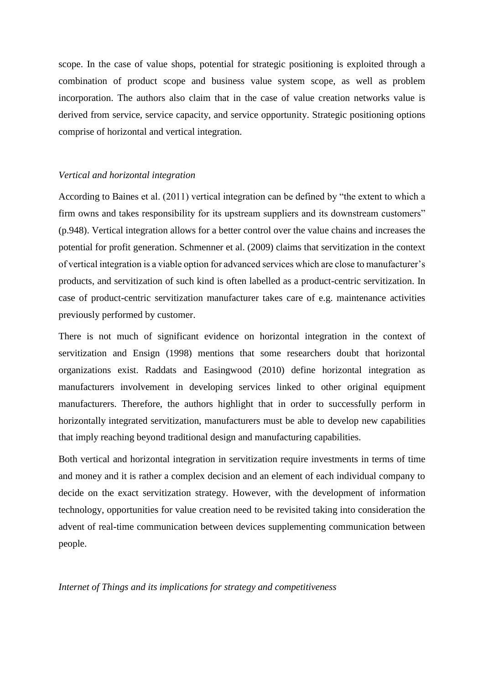scope. In the case of value shops, potential for strategic positioning is exploited through a combination of product scope and business value system scope, as well as problem incorporation. The authors also claim that in the case of value creation networks value is derived from service, service capacity, and service opportunity. Strategic positioning options comprise of horizontal and vertical integration.

#### *Vertical and horizontal integration*

According to Baines et al. (2011) vertical integration can be defined by "the extent to which a firm owns and takes responsibility for its upstream suppliers and its downstream customers" (p.948). Vertical integration allows for a better control over the value chains and increases the potential for profit generation. Schmenner et al. (2009) claims that servitization in the context of vertical integration is a viable option for advanced services which are close to manufacturer's products, and servitization of such kind is often labelled as a product-centric servitization. In case of product-centric servitization manufacturer takes care of e.g. maintenance activities previously performed by customer.

There is not much of significant evidence on horizontal integration in the context of servitization and Ensign (1998) mentions that some researchers doubt that horizontal organizations exist. Raddats and Easingwood (2010) define horizontal integration as manufacturers involvement in developing services linked to other original equipment manufacturers. Therefore, the authors highlight that in order to successfully perform in horizontally integrated servitization, manufacturers must be able to develop new capabilities that imply reaching beyond traditional design and manufacturing capabilities.

Both vertical and horizontal integration in servitization require investments in terms of time and money and it is rather a complex decision and an element of each individual company to decide on the exact servitization strategy. However, with the development of information technology, opportunities for value creation need to be revisited taking into consideration the advent of real-time communication between devices supplementing communication between people.

*Internet of Things and its implications for strategy and competitiveness*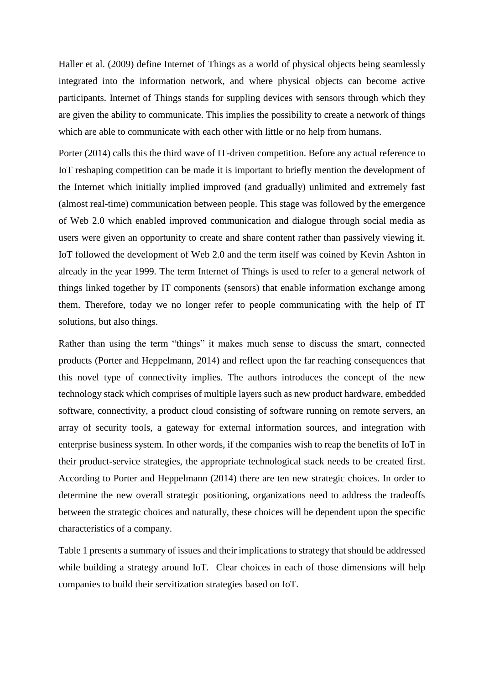Haller et al. (2009) define Internet of Things as a world of physical objects being seamlessly integrated into the information network, and where physical objects can become active participants. Internet of Things stands for suppling devices with sensors through which they are given the ability to communicate. This implies the possibility to create a network of things which are able to communicate with each other with little or no help from humans.

Porter (2014) calls this the third wave of IT-driven competition. Before any actual reference to IoT reshaping competition can be made it is important to briefly mention the development of the Internet which initially implied improved (and gradually) unlimited and extremely fast (almost real-time) communication between people. This stage was followed by the emergence of Web 2.0 which enabled improved communication and dialogue through social media as users were given an opportunity to create and share content rather than passively viewing it. IoT followed the development of Web 2.0 and the term itself was coined by Kevin Ashton in already in the year 1999. The term Internet of Things is used to refer to a general network of things linked together by IT components (sensors) that enable information exchange among them. Therefore, today we no longer refer to people communicating with the help of IT solutions, but also things.

Rather than using the term "things" it makes much sense to discuss the smart, connected products (Porter and Heppelmann, 2014) and reflect upon the far reaching consequences that this novel type of connectivity implies. The authors introduces the concept of the new technology stack which comprises of multiple layers such as new product hardware, embedded software, connectivity, a product cloud consisting of software running on remote servers, an array of security tools, a gateway for external information sources, and integration with enterprise business system. In other words, if the companies wish to reap the benefits of IoT in their product-service strategies, the appropriate technological stack needs to be created first. According to Porter and Heppelmann (2014) there are ten new strategic choices. In order to determine the new overall strategic positioning, organizations need to address the tradeoffs between the strategic choices and naturally, these choices will be dependent upon the specific characteristics of a company.

Table 1 presents a summary of issues and their implications to strategy that should be addressed while building a strategy around IoT. Clear choices in each of those dimensions will help companies to build their servitization strategies based on IoT.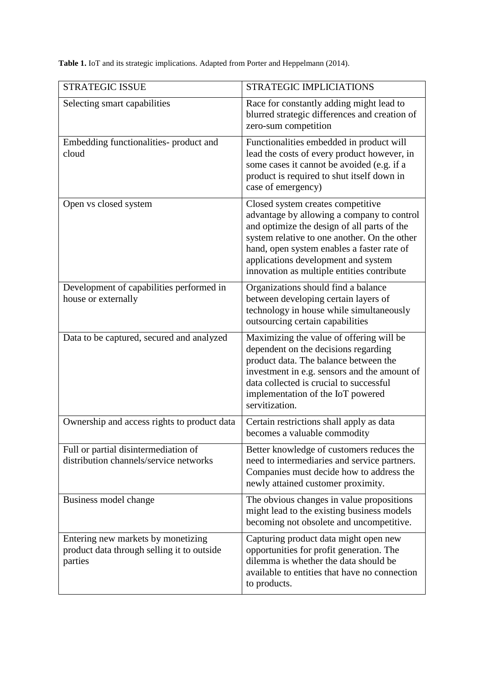**Table 1.** IoT and its strategic implications. Adapted from Porter and Heppelmann (2014).

| <b>STRATEGIC ISSUE</b>                                                                      | <b>STRATEGIC IMPLICIATIONS</b>                                                                                                                                                                                                                                                                                    |
|---------------------------------------------------------------------------------------------|-------------------------------------------------------------------------------------------------------------------------------------------------------------------------------------------------------------------------------------------------------------------------------------------------------------------|
|                                                                                             |                                                                                                                                                                                                                                                                                                                   |
| Selecting smart capabilities                                                                | Race for constantly adding might lead to<br>blurred strategic differences and creation of<br>zero-sum competition                                                                                                                                                                                                 |
| Embedding functionalities- product and<br>cloud                                             | Functionalities embedded in product will<br>lead the costs of every product however, in<br>some cases it cannot be avoided (e.g. if a<br>product is required to shut itself down in<br>case of emergency)                                                                                                         |
| Open vs closed system                                                                       | Closed system creates competitive<br>advantage by allowing a company to control<br>and optimize the design of all parts of the<br>system relative to one another. On the other<br>hand, open system enables a faster rate of<br>applications development and system<br>innovation as multiple entities contribute |
| Development of capabilities performed in<br>house or externally                             | Organizations should find a balance<br>between developing certain layers of<br>technology in house while simultaneously<br>outsourcing certain capabilities                                                                                                                                                       |
| Data to be captured, secured and analyzed                                                   | Maximizing the value of offering will be<br>dependent on the decisions regarding<br>product data. The balance between the<br>investment in e.g. sensors and the amount of<br>data collected is crucial to successful<br>implementation of the IoT powered<br>servitization.                                       |
| Ownership and access rights to product data                                                 | Certain restrictions shall apply as data<br>becomes a valuable commodity                                                                                                                                                                                                                                          |
| Full or partial disintermediation of<br>distribution channels/service networks              | Better knowledge of customers reduces the<br>need to intermediaries and service partners.<br>Companies must decide how to address the<br>newly attained customer proximity.                                                                                                                                       |
| Business model change                                                                       | The obvious changes in value propositions<br>might lead to the existing business models<br>becoming not obsolete and uncompetitive.                                                                                                                                                                               |
| Entering new markets by monetizing<br>product data through selling it to outside<br>parties | Capturing product data might open new<br>opportunities for profit generation. The<br>dilemma is whether the data should be<br>available to entities that have no connection<br>to products.                                                                                                                       |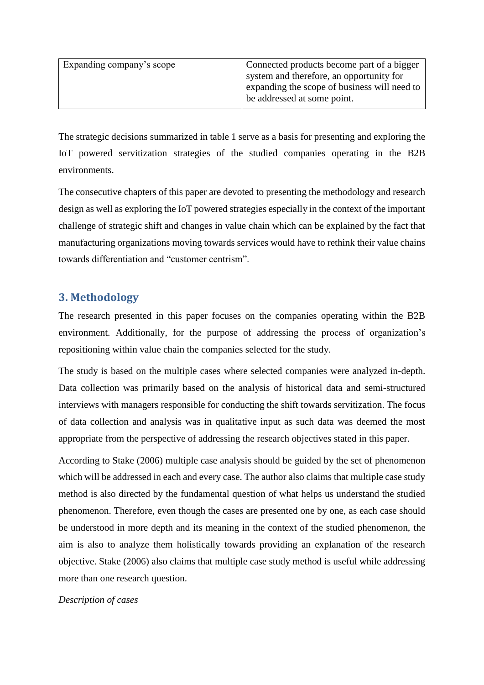| Expanding company's scope | Connected products become part of a bigger   |
|---------------------------|----------------------------------------------|
|                           | system and therefore, an opportunity for     |
|                           | expanding the scope of business will need to |
|                           | be addressed at some point.                  |
|                           |                                              |

The strategic decisions summarized in table 1 serve as a basis for presenting and exploring the IoT powered servitization strategies of the studied companies operating in the B2B environments.

The consecutive chapters of this paper are devoted to presenting the methodology and research design as well as exploring the IoT powered strategies especially in the context of the important challenge of strategic shift and changes in value chain which can be explained by the fact that manufacturing organizations moving towards services would have to rethink their value chains towards differentiation and "customer centrism".

## **3. Methodology**

The research presented in this paper focuses on the companies operating within the B2B environment. Additionally, for the purpose of addressing the process of organization's repositioning within value chain the companies selected for the study.

The study is based on the multiple cases where selected companies were analyzed in-depth. Data collection was primarily based on the analysis of historical data and semi-structured interviews with managers responsible for conducting the shift towards servitization. The focus of data collection and analysis was in qualitative input as such data was deemed the most appropriate from the perspective of addressing the research objectives stated in this paper.

According to Stake (2006) multiple case analysis should be guided by the set of phenomenon which will be addressed in each and every case. The author also claims that multiple case study method is also directed by the fundamental question of what helps us understand the studied phenomenon. Therefore, even though the cases are presented one by one, as each case should be understood in more depth and its meaning in the context of the studied phenomenon, the aim is also to analyze them holistically towards providing an explanation of the research objective. Stake (2006) also claims that multiple case study method is useful while addressing more than one research question.

#### *Description of cases*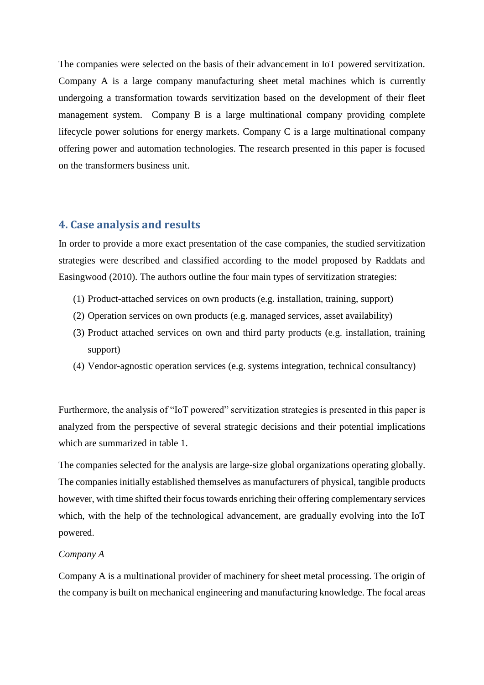The companies were selected on the basis of their advancement in IoT powered servitization. Company A is a large company manufacturing sheet metal machines which is currently undergoing a transformation towards servitization based on the development of their fleet management system. Company B is a large multinational company providing complete lifecycle power solutions for energy markets. Company C is a large multinational company offering power and automation technologies. The research presented in this paper is focused on the transformers business unit.

## **4. Case analysis and results**

In order to provide a more exact presentation of the case companies, the studied servitization strategies were described and classified according to the model proposed by Raddats and Easingwood (2010). The authors outline the four main types of servitization strategies:

- (1) Product-attached services on own products (e.g. installation, training, support)
- (2) Operation services on own products (e.g. managed services, asset availability)
- (3) Product attached services on own and third party products (e.g. installation, training support)
- (4) Vendor-agnostic operation services (e.g. systems integration, technical consultancy)

Furthermore, the analysis of "IoT powered" servitization strategies is presented in this paper is analyzed from the perspective of several strategic decisions and their potential implications which are summarized in table 1.

The companies selected for the analysis are large-size global organizations operating globally. The companies initially established themselves as manufacturers of physical, tangible products however, with time shifted their focus towards enriching their offering complementary services which, with the help of the technological advancement, are gradually evolving into the IoT powered.

#### *Company A*

Company A is a multinational provider of machinery for sheet metal processing. The origin of the company is built on mechanical engineering and manufacturing knowledge. The focal areas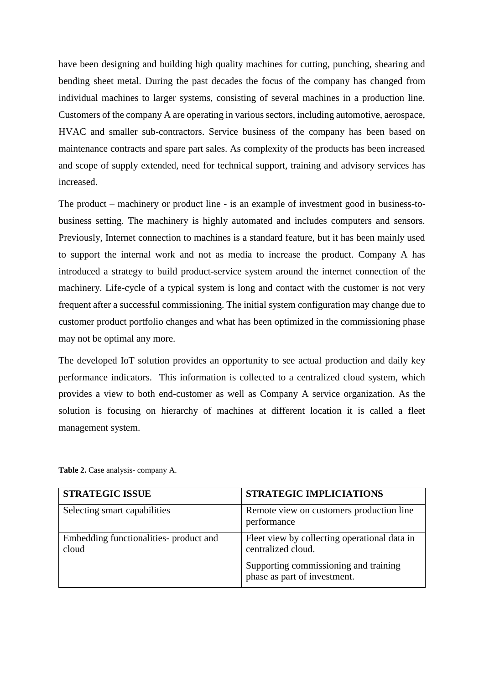have been designing and building high quality machines for cutting, punching, shearing and bending sheet metal. During the past decades the focus of the company has changed from individual machines to larger systems, consisting of several machines in a production line. Customers of the company A are operating in various sectors, including automotive, aerospace, HVAC and smaller sub-contractors. Service business of the company has been based on maintenance contracts and spare part sales. As complexity of the products has been increased and scope of supply extended, need for technical support, training and advisory services has increased.

The product – machinery or product line - is an example of investment good in business-tobusiness setting. The machinery is highly automated and includes computers and sensors. Previously, Internet connection to machines is a standard feature, but it has been mainly used to support the internal work and not as media to increase the product. Company A has introduced a strategy to build product-service system around the internet connection of the machinery. Life-cycle of a typical system is long and contact with the customer is not very frequent after a successful commissioning. The initial system configuration may change due to customer product portfolio changes and what has been optimized in the commissioning phase may not be optimal any more.

The developed IoT solution provides an opportunity to see actual production and daily key performance indicators. This information is collected to a centralized cloud system, which provides a view to both end-customer as well as Company A service organization. As the solution is focusing on hierarchy of machines at different location it is called a fleet management system.

| <b>STRATEGIC ISSUE</b>                          | <b>STRATEGIC IMPLICIATIONS</b>                                        |  |
|-------------------------------------------------|-----------------------------------------------------------------------|--|
| Selecting smart capabilities                    | Remote view on customers production line<br>performance               |  |
| Embedding functionalities- product and<br>cloud | Fleet view by collecting operational data in<br>centralized cloud.    |  |
|                                                 | Supporting commissioning and training<br>phase as part of investment. |  |

Table 2. Case analysis- company A.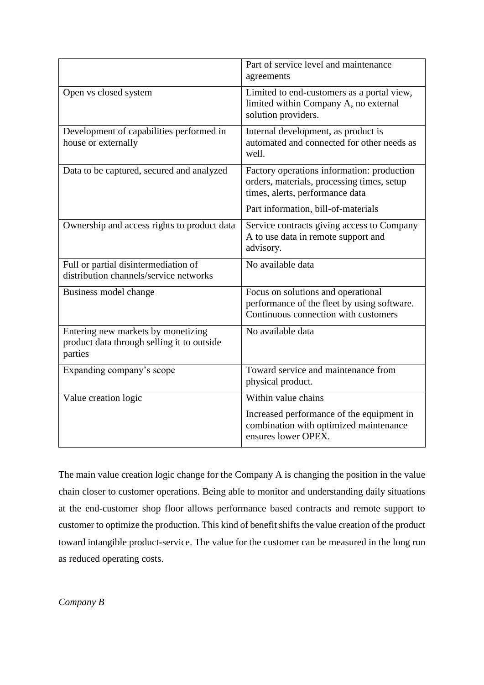|                                                                                             | Part of service level and maintenance<br>agreements                                                                         |  |
|---------------------------------------------------------------------------------------------|-----------------------------------------------------------------------------------------------------------------------------|--|
| Open vs closed system                                                                       | Limited to end-customers as a portal view,<br>limited within Company A, no external<br>solution providers.                  |  |
| Development of capabilities performed in<br>house or externally                             | Internal development, as product is<br>automated and connected for other needs as<br>well.                                  |  |
| Data to be captured, secured and analyzed                                                   | Factory operations information: production<br>orders, materials, processing times, setup<br>times, alerts, performance data |  |
|                                                                                             | Part information, bill-of-materials                                                                                         |  |
| Ownership and access rights to product data                                                 | Service contracts giving access to Company<br>A to use data in remote support and<br>advisory.                              |  |
| Full or partial disintermediation of<br>distribution channels/service networks              | $\overline{N}$ o available data                                                                                             |  |
| Business model change                                                                       | Focus on solutions and operational<br>performance of the fleet by using software.<br>Continuous connection with customers   |  |
| Entering new markets by monetizing<br>product data through selling it to outside<br>parties | No available data                                                                                                           |  |
| Expanding company's scope                                                                   | Toward service and maintenance from<br>physical product.                                                                    |  |
| Value creation logic                                                                        | Within value chains                                                                                                         |  |
|                                                                                             | Increased performance of the equipment in<br>combination with optimized maintenance<br>ensures lower OPEX.                  |  |

The main value creation logic change for the Company A is changing the position in the value chain closer to customer operations. Being able to monitor and understanding daily situations at the end-customer shop floor allows performance based contracts and remote support to customer to optimize the production. This kind of benefit shifts the value creation of the product toward intangible product-service. The value for the customer can be measured in the long run as reduced operating costs.

*Company B*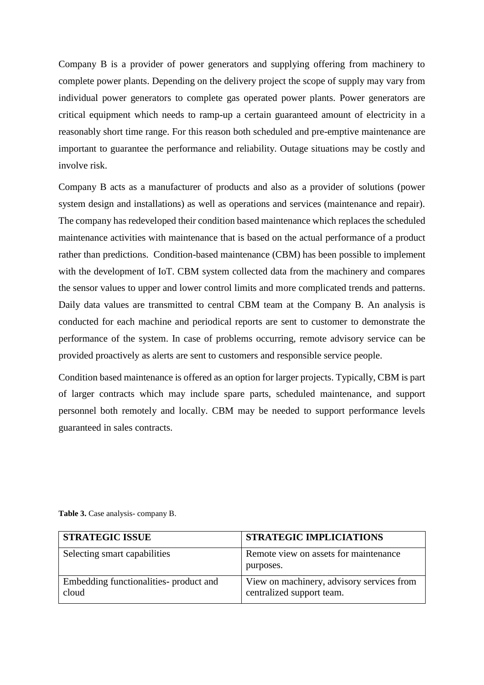Company B is a provider of power generators and supplying offering from machinery to complete power plants. Depending on the delivery project the scope of supply may vary from individual power generators to complete gas operated power plants. Power generators are critical equipment which needs to ramp-up a certain guaranteed amount of electricity in a reasonably short time range. For this reason both scheduled and pre-emptive maintenance are important to guarantee the performance and reliability. Outage situations may be costly and involve risk.

Company B acts as a manufacturer of products and also as a provider of solutions (power system design and installations) as well as operations and services (maintenance and repair). The company has redeveloped their condition based maintenance which replaces the scheduled maintenance activities with maintenance that is based on the actual performance of a product rather than predictions. Condition-based maintenance (CBM) has been possible to implement with the development of IoT. CBM system collected data from the machinery and compares the sensor values to upper and lower control limits and more complicated trends and patterns. Daily data values are transmitted to central CBM team at the Company B. An analysis is conducted for each machine and periodical reports are sent to customer to demonstrate the performance of the system. In case of problems occurring, remote advisory service can be provided proactively as alerts are sent to customers and responsible service people.

Condition based maintenance is offered as an option for larger projects. Typically, CBM is part of larger contracts which may include spare parts, scheduled maintenance, and support personnel both remotely and locally. CBM may be needed to support performance levels guaranteed in sales contracts.

| <b>STRATEGIC ISSUE</b>                          | <b>STRATEGIC IMPLICIATIONS</b>                                         |
|-------------------------------------------------|------------------------------------------------------------------------|
| Selecting smart capabilities                    | Remote view on assets for maintenance<br>purposes.                     |
| Embedding functionalities- product and<br>cloud | View on machinery, advisory services from<br>centralized support team. |

Table 3. Case analysis- company B.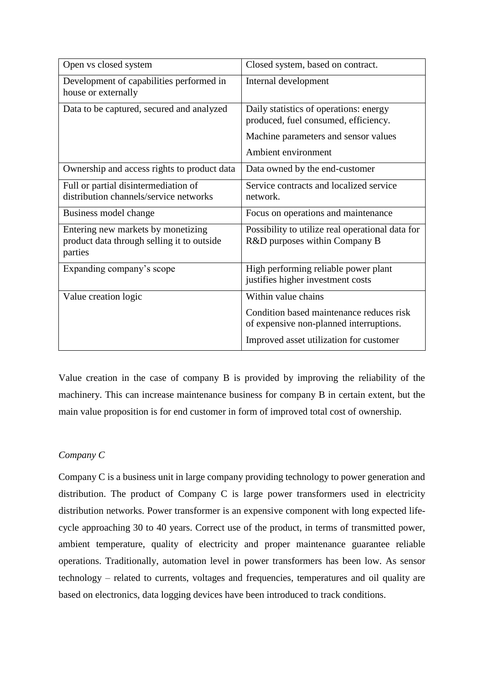| Open vs closed system                                                                       | Closed system, based on contract.                                                   |
|---------------------------------------------------------------------------------------------|-------------------------------------------------------------------------------------|
| Development of capabilities performed in<br>house or externally                             | Internal development                                                                |
| Data to be captured, secured and analyzed                                                   | Daily statistics of operations: energy<br>produced, fuel consumed, efficiency.      |
|                                                                                             | Machine parameters and sensor values                                                |
|                                                                                             | Ambient environment                                                                 |
| Ownership and access rights to product data                                                 | Data owned by the end-customer                                                      |
| Full or partial disintermediation of<br>distribution channels/service networks              | Service contracts and localized service<br>network.                                 |
| Business model change                                                                       | Focus on operations and maintenance                                                 |
| Entering new markets by monetizing<br>product data through selling it to outside<br>parties | Possibility to utilize real operational data for<br>R&D purposes within Company B   |
| Expanding company's scope                                                                   | High performing reliable power plant<br>justifies higher investment costs           |
| Value creation logic                                                                        | Within value chains                                                                 |
|                                                                                             | Condition based maintenance reduces risk<br>of expensive non-planned interruptions. |
|                                                                                             | Improved asset utilization for customer                                             |

Value creation in the case of company B is provided by improving the reliability of the machinery. This can increase maintenance business for company B in certain extent, but the main value proposition is for end customer in form of improved total cost of ownership.

## *Company C*

Company C is a business unit in large company providing technology to power generation and distribution. The product of Company C is large power transformers used in electricity distribution networks. Power transformer is an expensive component with long expected lifecycle approaching 30 to 40 years. Correct use of the product, in terms of transmitted power, ambient temperature, quality of electricity and proper maintenance guarantee reliable operations. Traditionally, automation level in power transformers has been low. As sensor technology – related to currents, voltages and frequencies, temperatures and oil quality are based on electronics, data logging devices have been introduced to track conditions.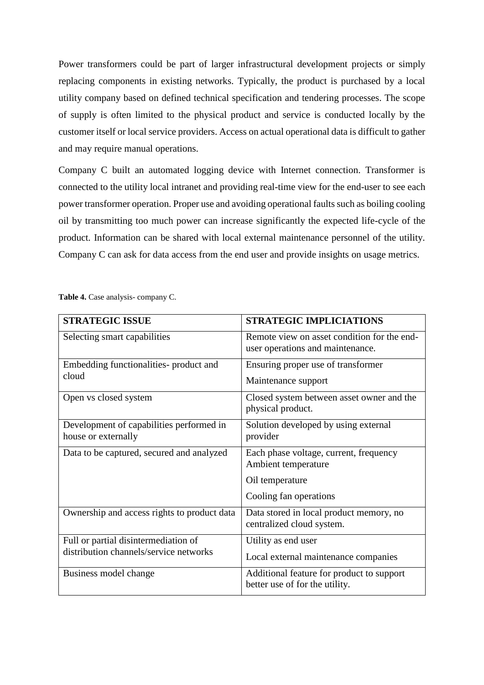Power transformers could be part of larger infrastructural development projects or simply replacing components in existing networks. Typically, the product is purchased by a local utility company based on defined technical specification and tendering processes. The scope of supply is often limited to the physical product and service is conducted locally by the customer itself or local service providers. Access on actual operational data is difficult to gather and may require manual operations.

Company C built an automated logging device with Internet connection. Transformer is connected to the utility local intranet and providing real-time view for the end-user to see each power transformer operation. Proper use and avoiding operational faults such as boiling cooling oil by transmitting too much power can increase significantly the expected life-cycle of the product. Information can be shared with local external maintenance personnel of the utility. Company C can ask for data access from the end user and provide insights on usage metrics.

| <b>STRATEGIC ISSUE</b>                                          | <b>STRATEGIC IMPLICIATIONS</b>                                                  |  |  |
|-----------------------------------------------------------------|---------------------------------------------------------------------------------|--|--|
| Selecting smart capabilities                                    | Remote view on asset condition for the end-<br>user operations and maintenance. |  |  |
| Embedding functionalities- product and<br>cloud                 | Ensuring proper use of transformer<br>Maintenance support                       |  |  |
| Open vs closed system                                           | Closed system between asset owner and the<br>physical product.                  |  |  |
| Development of capabilities performed in<br>house or externally | Solution developed by using external<br>provider                                |  |  |
| Data to be captured, secured and analyzed                       | Each phase voltage, current, frequency<br>Ambient temperature                   |  |  |
|                                                                 | Oil temperature                                                                 |  |  |
|                                                                 | Cooling fan operations                                                          |  |  |
| Ownership and access rights to product data                     | Data stored in local product memory, no<br>centralized cloud system.            |  |  |
| Full or partial disintermediation of                            | Utility as end user                                                             |  |  |
| distribution channels/service networks                          | Local external maintenance companies                                            |  |  |
| Business model change                                           | Additional feature for product to support<br>better use of for the utility.     |  |  |

Table 4. Case analysis- company C.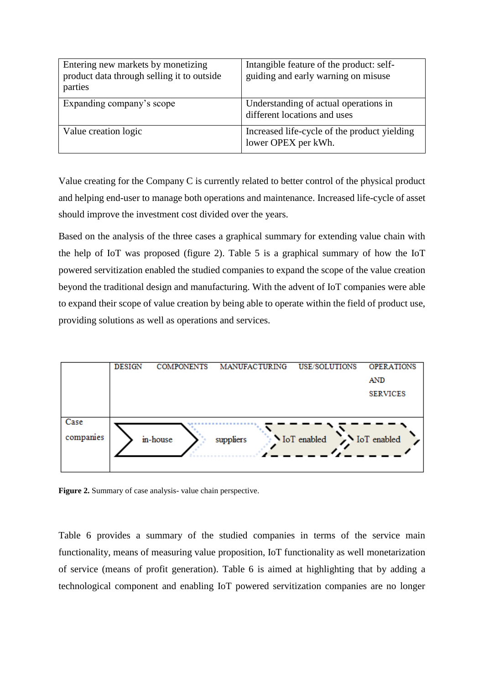| Entering new markets by monetizing<br>product data through selling it to outside<br>parties | Intangible feature of the product: self-<br>guiding and early warning on misuse |
|---------------------------------------------------------------------------------------------|---------------------------------------------------------------------------------|
| Expanding company's scope                                                                   | Understanding of actual operations in<br>different locations and uses           |
| Value creation logic                                                                        | Increased life-cycle of the product yielding<br>lower OPEX per kWh.             |

Value creating for the Company C is currently related to better control of the physical product and helping end-user to manage both operations and maintenance. Increased life-cycle of asset should improve the investment cost divided over the years.

Based on the analysis of the three cases a graphical summary for extending value chain with the help of IoT was proposed (figure 2). Table 5 is a graphical summary of how the IoT powered servitization enabled the studied companies to expand the scope of the value creation beyond the traditional design and manufacturing. With the advent of IoT companies were able to expand their scope of value creation by being able to operate within the field of product use, providing solutions as well as operations and services.



Figure 2. Summary of case analysis- value chain perspective.

Table 6 provides a summary of the studied companies in terms of the service main functionality, means of measuring value proposition, IoT functionality as well monetarization of service (means of profit generation). Table 6 is aimed at highlighting that by adding a technological component and enabling IoT powered servitization companies are no longer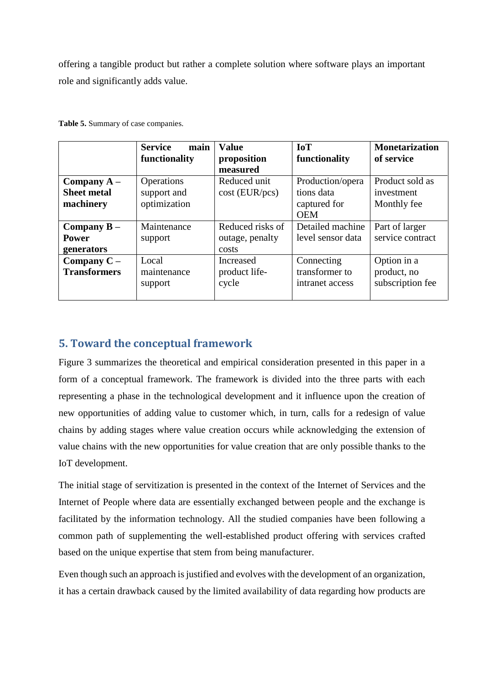offering a tangible product but rather a complete solution where software plays an important role and significantly adds value.

|                                                  | <b>Service</b><br>main<br>functionality   | <b>Value</b><br>proposition                  | <b>IoT</b><br>functionality                                  | <b>Monetarization</b><br>of service            |
|--------------------------------------------------|-------------------------------------------|----------------------------------------------|--------------------------------------------------------------|------------------------------------------------|
| Company $A -$<br><b>Sheet metal</b><br>machinery | Operations<br>support and<br>optimization | measured<br>Reduced unit<br>$cost$ (EUR/pcs) | Production/opera<br>tions data<br>captured for<br><b>OEM</b> | Product sold as<br>investment<br>Monthly fee   |
| Company $B -$<br><b>Power</b><br>generators      | Maintenance<br>support                    | Reduced risks of<br>outage, penalty<br>costs | Detailed machine<br>level sensor data                        | Part of larger<br>service contract             |
| Company $C -$<br><b>Transformers</b>             | Local<br>maintenance<br>support           | Increased<br>product life-<br>cycle          | Connecting<br>transformer to<br>intranet access              | Option in a<br>product, no<br>subscription fee |

**Table 5.** Summary of case companies.

## **5. Toward the conceptual framework**

Figure 3 summarizes the theoretical and empirical consideration presented in this paper in a form of a conceptual framework. The framework is divided into the three parts with each representing a phase in the technological development and it influence upon the creation of new opportunities of adding value to customer which, in turn, calls for a redesign of value chains by adding stages where value creation occurs while acknowledging the extension of value chains with the new opportunities for value creation that are only possible thanks to the IoT development.

The initial stage of servitization is presented in the context of the Internet of Services and the Internet of People where data are essentially exchanged between people and the exchange is facilitated by the information technology. All the studied companies have been following a common path of supplementing the well-established product offering with services crafted based on the unique expertise that stem from being manufacturer.

Even though such an approach is justified and evolves with the development of an organization, it has a certain drawback caused by the limited availability of data regarding how products are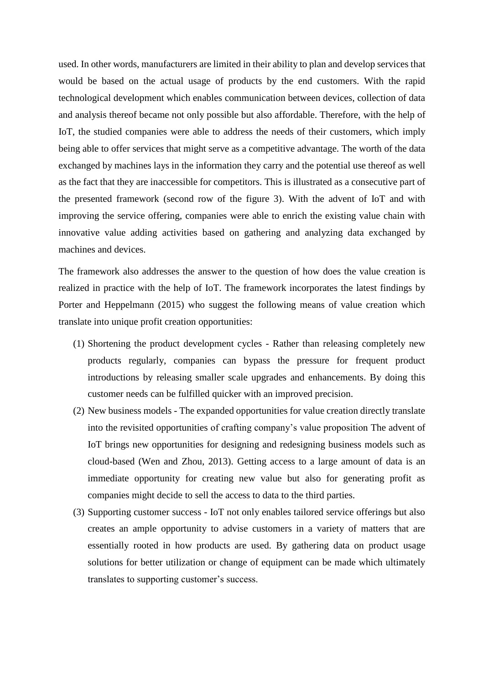used. In other words, manufacturers are limited in their ability to plan and develop services that would be based on the actual usage of products by the end customers. With the rapid technological development which enables communication between devices, collection of data and analysis thereof became not only possible but also affordable. Therefore, with the help of IoT, the studied companies were able to address the needs of their customers, which imply being able to offer services that might serve as a competitive advantage. The worth of the data exchanged by machines lays in the information they carry and the potential use thereof as well as the fact that they are inaccessible for competitors. This is illustrated as a consecutive part of the presented framework (second row of the figure 3). With the advent of IoT and with improving the service offering, companies were able to enrich the existing value chain with innovative value adding activities based on gathering and analyzing data exchanged by machines and devices.

The framework also addresses the answer to the question of how does the value creation is realized in practice with the help of IoT. The framework incorporates the latest findings by Porter and Heppelmann (2015) who suggest the following means of value creation which translate into unique profit creation opportunities:

- (1) Shortening the product development cycles Rather than releasing completely new products regularly, companies can bypass the pressure for frequent product introductions by releasing smaller scale upgrades and enhancements. By doing this customer needs can be fulfilled quicker with an improved precision.
- (2) New business models The expanded opportunities for value creation directly translate into the revisited opportunities of crafting company's value proposition The advent of IoT brings new opportunities for designing and redesigning business models such as cloud-based (Wen and Zhou, 2013). Getting access to a large amount of data is an immediate opportunity for creating new value but also for generating profit as companies might decide to sell the access to data to the third parties.
- (3) Supporting customer success IoT not only enables tailored service offerings but also creates an ample opportunity to advise customers in a variety of matters that are essentially rooted in how products are used. By gathering data on product usage solutions for better utilization or change of equipment can be made which ultimately translates to supporting customer's success.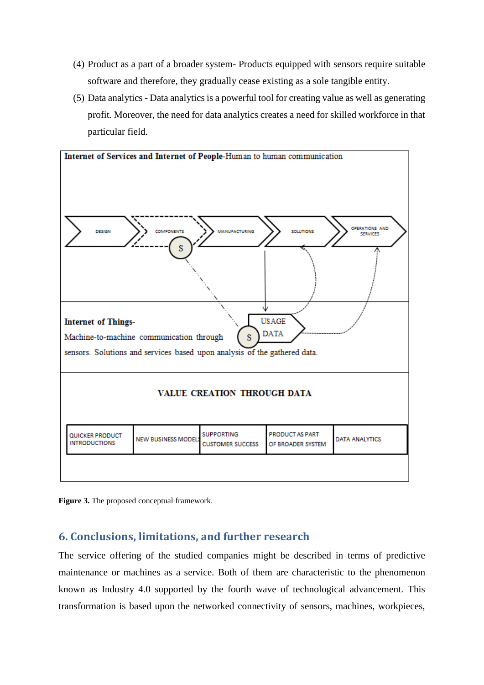- (4) Product as a part of a broader system- Products equipped with sensors require suitable software and therefore, they gradually cease existing as a sole tangible entity.
- (5) Data analytics Data analytics is a powerful tool for creating value as well as generating profit. Moreover, the need for data analytics creates a need for skilled workforce in that particular field.





## **6. Conclusions, limitations, and further research**

The service offering of the studied companies might be described in terms of predictive maintenance or machines as a service. Both of them are characteristic to the phenomenon known as Industry 4.0 supported by the fourth wave of technological advancement. This transformation is based upon the networked connectivity of sensors, machines, workpieces,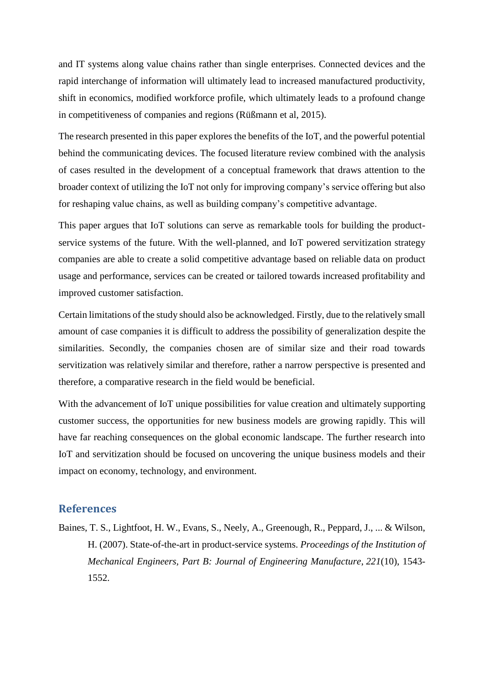and IT systems along value chains rather than single enterprises. Connected devices and the rapid interchange of information will ultimately lead to increased manufactured productivity, shift in economics, modified workforce profile, which ultimately leads to a profound change in competitiveness of companies and regions (Rüßmann et al, 2015).

The research presented in this paper explores the benefits of the IoT, and the powerful potential behind the communicating devices. The focused literature review combined with the analysis of cases resulted in the development of a conceptual framework that draws attention to the broader context of utilizing the IoT not only for improving company's service offering but also for reshaping value chains, as well as building company's competitive advantage.

This paper argues that IoT solutions can serve as remarkable tools for building the productservice systems of the future. With the well-planned, and IoT powered servitization strategy companies are able to create a solid competitive advantage based on reliable data on product usage and performance, services can be created or tailored towards increased profitability and improved customer satisfaction.

Certain limitations of the study should also be acknowledged. Firstly, due to the relatively small amount of case companies it is difficult to address the possibility of generalization despite the similarities. Secondly, the companies chosen are of similar size and their road towards servitization was relatively similar and therefore, rather a narrow perspective is presented and therefore, a comparative research in the field would be beneficial.

With the advancement of IoT unique possibilities for value creation and ultimately supporting customer success, the opportunities for new business models are growing rapidly. This will have far reaching consequences on the global economic landscape. The further research into IoT and servitization should be focused on uncovering the unique business models and their impact on economy, technology, and environment.

#### **References**

Baines, T. S., Lightfoot, H. W., Evans, S., Neely, A., Greenough, R., Peppard, J., ... & Wilson, H. (2007). State-of-the-art in product-service systems. *Proceedings of the Institution of Mechanical Engineers, Part B: Journal of Engineering Manufacture*, *221*(10), 1543- 1552.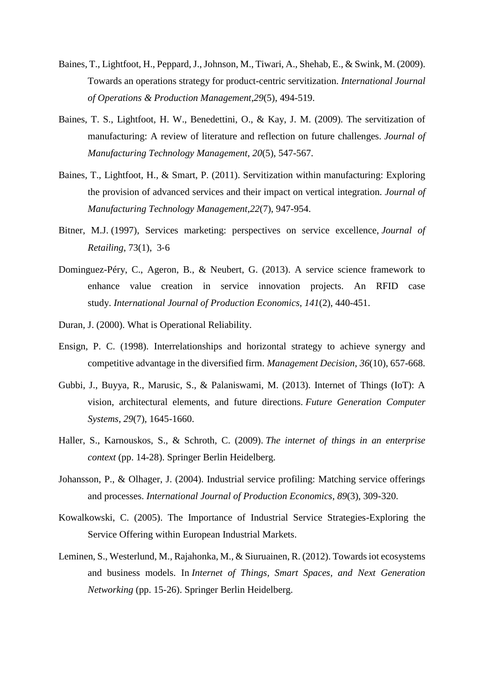- Baines, T., Lightfoot, H., Peppard, J., Johnson, M., Tiwari, A., Shehab, E., & Swink, M. (2009). Towards an operations strategy for product-centric servitization. *International Journal of Operations & Production Management*,*29*(5), 494-519.
- Baines, T. S., Lightfoot, H. W., Benedettini, O., & Kay, J. M. (2009). The servitization of manufacturing: A review of literature and reflection on future challenges. *Journal of Manufacturing Technology Management*, *20*(5), 547-567.
- Baines, T., Lightfoot, H., & Smart, P. (2011). Servitization within manufacturing: Exploring the provision of advanced services and their impact on vertical integration. *Journal of Manufacturing Technology Management*,*22*(7), 947-954.
- Bitner, M.J. (1997), Services marketing: perspectives on service excellence, *Journal of Retailing*, 73(1), 3‐6
- Dominguez-Péry, C., Ageron, B., & Neubert, G. (2013). A service science framework to enhance value creation in service innovation projects. An RFID case study. *International Journal of Production Economics*, *141*(2), 440-451.
- Duran, J. (2000). What is Operational Reliability.
- Ensign, P. C. (1998). Interrelationships and horizontal strategy to achieve synergy and competitive advantage in the diversified firm. *Management Decision*, *36*(10), 657-668.
- Gubbi, J., Buyya, R., Marusic, S., & Palaniswami, M. (2013). Internet of Things (IoT): A vision, architectural elements, and future directions. *Future Generation Computer Systems*, *29*(7), 1645-1660.
- Haller, S., Karnouskos, S., & Schroth, C. (2009). *The internet of things in an enterprise context* (pp. 14-28). Springer Berlin Heidelberg.
- Johansson, P., & Olhager, J. (2004). Industrial service profiling: Matching service offerings and processes. *International Journal of Production Economics*, *89*(3), 309-320.
- Kowalkowski, C. (2005). The Importance of Industrial Service Strategies-Exploring the Service Offering within European Industrial Markets.
- Leminen, S., Westerlund, M., Rajahonka, M., & Siuruainen, R. (2012). Towards iot ecosystems and business models. In *Internet of Things, Smart Spaces, and Next Generation Networking* (pp. 15-26). Springer Berlin Heidelberg.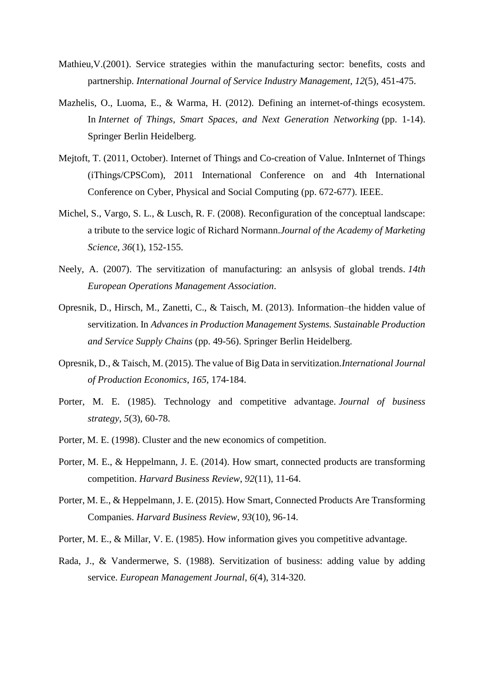- Mathieu,V.(2001). Service strategies within the manufacturing sector: benefits, costs and partnership. *International Journal of Service Industry Management*, *12*(5), 451-475.
- Mazhelis, O., Luoma, E., & Warma, H. (2012). Defining an internet-of-things ecosystem. In *Internet of Things, Smart Spaces, and Next Generation Networking* (pp. 1-14). Springer Berlin Heidelberg.
- Mejtoft, T. (2011, October). Internet of Things and Co-creation of Value. InInternet of Things (iThings/CPSCom), 2011 International Conference on and 4th International Conference on Cyber, Physical and Social Computing (pp. 672-677). IEEE.
- Michel, S., Vargo, S. L., & Lusch, R. F. (2008). Reconfiguration of the conceptual landscape: a tribute to the service logic of Richard Normann.*Journal of the Academy of Marketing Science*, *36*(1), 152-155.
- Neely, A. (2007). The servitization of manufacturing: an anlsysis of global trends. *14th European Operations Management Association*.
- Opresnik, D., Hirsch, M., Zanetti, C., & Taisch, M. (2013). Information–the hidden value of servitization. In *Advances in Production Management Systems. Sustainable Production and Service Supply Chains* (pp. 49-56). Springer Berlin Heidelberg.
- Opresnik, D., & Taisch, M. (2015). The value of Big Data in servitization.*International Journal of Production Economics*, *165*, 174-184.
- Porter, M. E. (1985). Technology and competitive advantage. *Journal of business strategy*, *5*(3), 60-78.
- Porter, M. E. (1998). Cluster and the new economics of competition.
- Porter, M. E., & Heppelmann, J. E. (2014). How smart, connected products are transforming competition. *Harvard Business Review*, *92*(11), 11-64.
- Porter, M. E., & Heppelmann, J. E. (2015). How Smart, Connected Products Are Transforming Companies. *Harvard Business Review*, *93*(10), 96-14.
- Porter, M. E., & Millar, V. E. (1985). How information gives you competitive advantage.
- Rada, J., & Vandermerwe, S. (1988). Servitization of business: adding value by adding service. *European Management Journal*, *6*(4), 314-320.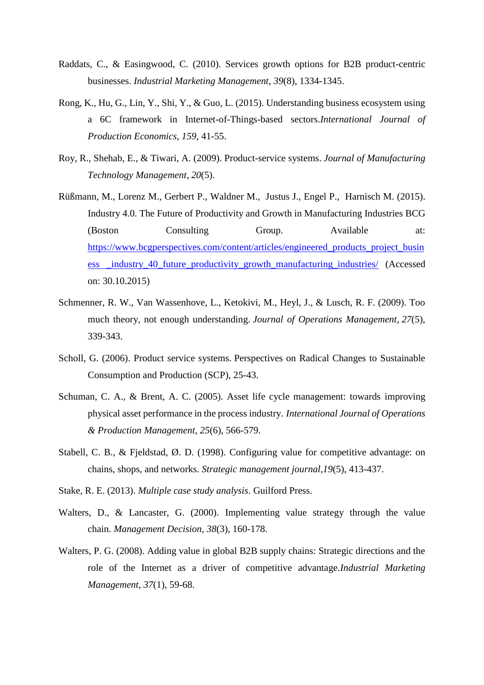- Raddats, C., & Easingwood, C. (2010). Services growth options for B2B product-centric businesses. *Industrial Marketing Management*, *39*(8), 1334-1345.
- Rong, K., Hu, G., Lin, Y., Shi, Y., & Guo, L. (2015). Understanding business ecosystem using a 6C framework in Internet-of-Things-based sectors.*International Journal of Production Economics*, *159*, 41-55.
- Roy, R., Shehab, E., & Tiwari, A. (2009). Product-service systems. *Journal of Manufacturing Technology Management*, *20*(5).
- Rüßmann, M., Lorenz M., Gerbert P., Waldner M., Justus J., Engel P., Harnisch M. (2015). Industry 4.0. The Future of Productivity and Growth in Manufacturing Industries BCG (Boston Consulting Group. Available at: [https://www.bcgperspectives.com/content/articles/engineered\\_products\\_project\\_busin](https://www.bcgperspectives.com/content/articles/engineered_products_project_business%20_industry_40_future_productivity_growth_manufacturing_industries/) [ess \\_industry\\_40\\_future\\_productivity\\_growth\\_manufacturing\\_industries/](https://www.bcgperspectives.com/content/articles/engineered_products_project_business%20_industry_40_future_productivity_growth_manufacturing_industries/) (Accessed on: 30.10.2015)
- Schmenner, R. W., Van Wassenhove, L., Ketokivi, M., Heyl, J., & Lusch, R. F. (2009). Too much theory, not enough understanding. *Journal of Operations Management*, *27*(5), 339-343.
- Scholl, G. (2006). Product service systems. Perspectives on Radical Changes to Sustainable Consumption and Production (SCP), 25-43.
- Schuman, C. A., & Brent, A. C. (2005). Asset life cycle management: towards improving physical asset performance in the process industry. *International Journal of Operations & Production Management*, *25*(6), 566-579.
- Stabell, C. B., & Fieldstad, Ø. D. (1998). Configuring value for competitive advantage: on chains, shops, and networks. *Strategic management journal*,*19*(5), 413-437.
- Stake, R. E. (2013). *Multiple case study analysis*. Guilford Press.
- Walters, D., & Lancaster, G. (2000). Implementing value strategy through the value chain. *Management Decision*, *38*(3), 160-178.
- Walters, P. G. (2008). Adding value in global B2B supply chains: Strategic directions and the role of the Internet as a driver of competitive advantage.*Industrial Marketing Management*, *37*(1), 59-68.